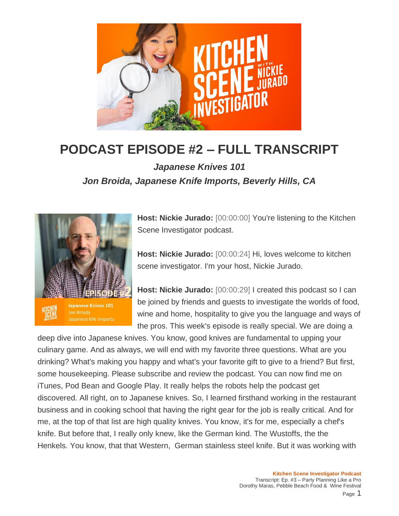

## **PODCAST EPISODE #2 – FULL TRANSCRIPT**

*Japanese Knives 101 Jon Broida, Japanese Knife Imports, Beverly Hills, CA*



**Host: Nickie Jurado:** [00:00:00] You're listening to the Kitchen Scene Investigator podcast.

**Host: Nickie Jurado:** [00:00:24] Hi, loves welcome to kitchen scene investigator. I'm your host, Nickie Jurado.

**Host: Nickie Jurado:** [00:00:29] I created this podcast so I can be joined by friends and guests to investigate the worlds of food, wine and home, hospitality to give you the language and ways of the pros. This week's episode is really special. We are doing a

deep dive into Japanese knives. You know, good knives are fundamental to upping your culinary game. And as always, we will end with my favorite three questions. What are you drinking? What's making you happy and what's your favorite gift to give to a friend? But first, some housekeeping. Please subscribe and review the podcast. You can now find me on iTunes, Pod Bean and Google Play. It really helps the robots help the podcast get discovered. All right, on to Japanese knives. So, I learned firsthand working in the restaurant business and in cooking school that having the right gear for the job is really critical. And for me, at the top of that list are high quality knives. You know, it's for me, especially a chef's knife. But before that, I really only knew, like the German kind. The Wustoffs, the the Henkels. You know, that that Western, German stainless steel knife. But it was working with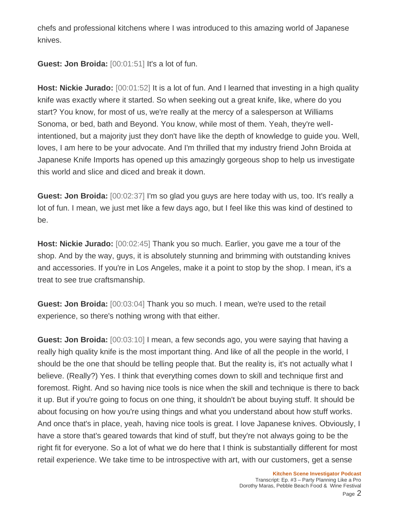chefs and professional kitchens where I was introduced to this amazing world of Japanese knives.

**Guest: Jon Broida:** [00:01:51] It's a lot of fun.

**Host: Nickie Jurado:** [00:01:52] It is a lot of fun. And I learned that investing in a high quality knife was exactly where it started. So when seeking out a great knife, like, where do you start? You know, for most of us, we're really at the mercy of a salesperson at Williams Sonoma, or bed, bath and Beyond. You know, while most of them. Yeah, they're wellintentioned, but a majority just they don't have like the depth of knowledge to guide you. Well, loves, I am here to be your advocate. And I'm thrilled that my industry friend John Broida at Japanese Knife Imports has opened up this amazingly gorgeous shop to help us investigate this world and slice and diced and break it down.

**Guest: Jon Broida:** [00:02:37] I'm so glad you guys are here today with us, too. It's really a lot of fun. I mean, we just met like a few days ago, but I feel like this was kind of destined to be.

**Host: Nickie Jurado:** [00:02:45] Thank you so much. Earlier, you gave me a tour of the shop. And by the way, guys, it is absolutely stunning and brimming with outstanding knives and accessories. If you're in Los Angeles, make it a point to stop by the shop. I mean, it's a treat to see true craftsmanship.

**Guest: Jon Broida:** [00:03:04] Thank you so much. I mean, we're used to the retail experience, so there's nothing wrong with that either.

**Guest: Jon Broida:** [00:03:10] I mean, a few seconds ago, you were saying that having a really high quality knife is the most important thing. And like of all the people in the world, I should be the one that should be telling people that. But the reality is, it's not actually what I believe. (Really?) Yes. I think that everything comes down to skill and technique first and foremost. Right. And so having nice tools is nice when the skill and technique is there to back it up. But if you're going to focus on one thing, it shouldn't be about buying stuff. It should be about focusing on how you're using things and what you understand about how stuff works. And once that's in place, yeah, having nice tools is great. I love Japanese knives. Obviously, I have a store that's geared towards that kind of stuff, but they're not always going to be the right fit for everyone. So a lot of what we do here that I think is substantially different for most retail experience. We take time to be introspective with art, with our customers, get a sense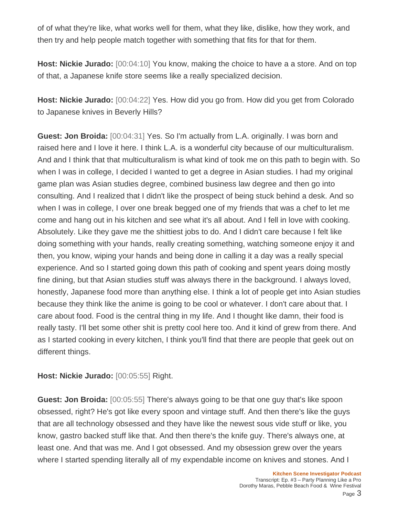of of what they're like, what works well for them, what they like, dislike, how they work, and then try and help people match together with something that fits for that for them.

**Host: Nickie Jurado:** [00:04:10] You know, making the choice to have a a store. And on top of that, a Japanese knife store seems like a really specialized decision.

**Host: Nickie Jurado:** [00:04:22] Yes. How did you go from. How did you get from Colorado to Japanese knives in Beverly Hills?

**Guest: Jon Broida:** [00:04:31] Yes. So I'm actually from L.A. originally. I was born and raised here and I love it here. I think L.A. is a wonderful city because of our multiculturalism. And and I think that that multiculturalism is what kind of took me on this path to begin with. So when I was in college, I decided I wanted to get a degree in Asian studies. I had my original game plan was Asian studies degree, combined business law degree and then go into consulting. And I realized that I didn't like the prospect of being stuck behind a desk. And so when I was in college, I over one break begged one of my friends that was a chef to let me come and hang out in his kitchen and see what it's all about. And I fell in love with cooking. Absolutely. Like they gave me the shittiest jobs to do. And I didn't care because I felt like doing something with your hands, really creating something, watching someone enjoy it and then, you know, wiping your hands and being done in calling it a day was a really special experience. And so I started going down this path of cooking and spent years doing mostly fine dining, but that Asian studies stuff was always there in the background. I always loved, honestly, Japanese food more than anything else. I think a lot of people get into Asian studies because they think like the anime is going to be cool or whatever. I don't care about that. I care about food. Food is the central thing in my life. And I thought like damn, their food is really tasty. I'll bet some other shit is pretty cool here too. And it kind of grew from there. And as I started cooking in every kitchen, I think you'll find that there are people that geek out on different things.

**Host: Nickie Jurado:** [00:05:55] Right.

**Guest: Jon Broida:** [00:05:55] There's always going to be that one guy that's like spoon obsessed, right? He's got like every spoon and vintage stuff. And then there's like the guys that are all technology obsessed and they have like the newest sous vide stuff or like, you know, gastro backed stuff like that. And then there's the knife guy. There's always one, at least one. And that was me. And I got obsessed. And my obsession grew over the years where I started spending literally all of my expendable income on knives and stones. And I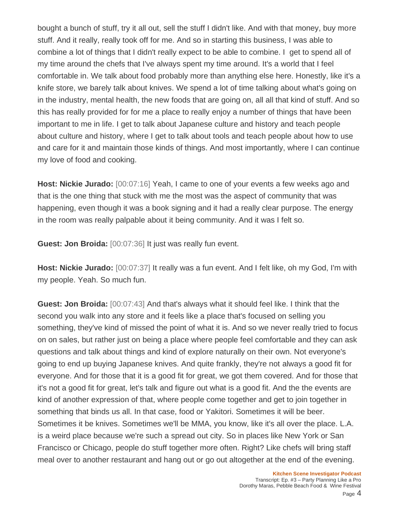bought a bunch of stuff, try it all out, sell the stuff I didn't like. And with that money, buy more stuff. And it really, really took off for me. And so in starting this business, I was able to combine a lot of things that I didn't really expect to be able to combine. I get to spend all of my time around the chefs that I've always spent my time around. It's a world that I feel comfortable in. We talk about food probably more than anything else here. Honestly, like it's a knife store, we barely talk about knives. We spend a lot of time talking about what's going on in the industry, mental health, the new foods that are going on, all all that kind of stuff. And so this has really provided for for me a place to really enjoy a number of things that have been important to me in life. I get to talk about Japanese culture and history and teach people about culture and history, where I get to talk about tools and teach people about how to use and care for it and maintain those kinds of things. And most importantly, where I can continue my love of food and cooking.

**Host: Nickie Jurado:** [00:07:16] Yeah, I came to one of your events a few weeks ago and that is the one thing that stuck with me the most was the aspect of community that was happening, even though it was a book signing and it had a really clear purpose. The energy in the room was really palpable about it being community. And it was I felt so.

**Guest: Jon Broida:** [00:07:36] It just was really fun event.

**Host: Nickie Jurado:** [00:07:37] It really was a fun event. And I felt like, oh my God, I'm with my people. Yeah. So much fun.

**Guest: Jon Broida:** [00:07:43] And that's always what it should feel like. I think that the second you walk into any store and it feels like a place that's focused on selling you something, they've kind of missed the point of what it is. And so we never really tried to focus on on sales, but rather just on being a place where people feel comfortable and they can ask questions and talk about things and kind of explore naturally on their own. Not everyone's going to end up buying Japanese knives. And quite frankly, they're not always a good fit for everyone. And for those that it is a good fit for great, we got them covered. And for those that it's not a good fit for great, let's talk and figure out what is a good fit. And the the events are kind of another expression of that, where people come together and get to join together in something that binds us all. In that case, food or Yakitori. Sometimes it will be beer. Sometimes it be knives. Sometimes we'll be MMA, you know, like it's all over the place. L.A. is a weird place because we're such a spread out city. So in places like New York or San Francisco or Chicago, people do stuff together more often. Right? Like chefs will bring staff meal over to another restaurant and hang out or go out altogether at the end of the evening.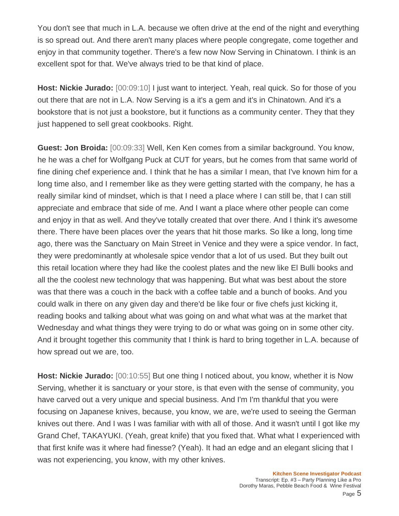You don't see that much in L.A. because we often drive at the end of the night and everything is so spread out. And there aren't many places where people congregate, come together and enjoy in that community together. There's a few now Now Serving in Chinatown. I think is an excellent spot for that. We've always tried to be that kind of place.

**Host: Nickie Jurado:** [00:09:10] I just want to interject. Yeah, real quick. So for those of you out there that are not in L.A. Now Serving is a it's a gem and it's in Chinatown. And it's a bookstore that is not just a bookstore, but it functions as a community center. They that they just happened to sell great cookbooks. Right.

**Guest: Jon Broida:** [00:09:33] Well, Ken Ken comes from a similar background. You know, he he was a chef for Wolfgang Puck at CUT for years, but he comes from that same world of fine dining chef experience and. I think that he has a similar I mean, that I've known him for a long time also, and I remember like as they were getting started with the company, he has a really similar kind of mindset, which is that I need a place where I can still be, that I can still appreciate and embrace that side of me. And I want a place where other people can come and enjoy in that as well. And they've totally created that over there. And I think it's awesome there. There have been places over the years that hit those marks. So like a long, long time ago, there was the Sanctuary on Main Street in Venice and they were a spice vendor. In fact, they were predominantly at wholesale spice vendor that a lot of us used. But they built out this retail location where they had like the coolest plates and the new like El Bulli books and all the the coolest new technology that was happening. But what was best about the store was that there was a couch in the back with a coffee table and a bunch of books. And you could walk in there on any given day and there'd be like four or five chefs just kicking it, reading books and talking about what was going on and what what was at the market that Wednesday and what things they were trying to do or what was going on in some other city. And it brought together this community that I think is hard to bring together in L.A. because of how spread out we are, too.

**Host: Nickie Jurado:** [00:10:55] But one thing I noticed about, you know, whether it is Now Serving, whether it is sanctuary or your store, is that even with the sense of community, you have carved out a very unique and special business. And I'm I'm thankful that you were focusing on Japanese knives, because, you know, we are, we're used to seeing the German knives out there. And I was I was familiar with with all of those. And it wasn't until I got like my Grand Chef, TAKAYUKI. (Yeah, great knife) that you fixed that. What what I experienced with that first knife was it where had finesse? (Yeah). It had an edge and an elegant slicing that I was not experiencing, you know, with my other knives.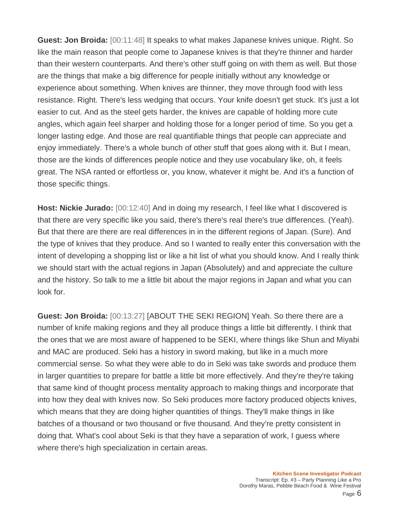**Guest: Jon Broida:** [00:11:48] It speaks to what makes Japanese knives unique. Right. So like the main reason that people come to Japanese knives is that they're thinner and harder than their western counterparts. And there's other stuff going on with them as well. But those are the things that make a big difference for people initially without any knowledge or experience about something. When knives are thinner, they move through food with less resistance. Right. There's less wedging that occurs. Your knife doesn't get stuck. It's just a lot easier to cut. And as the steel gets harder, the knives are capable of holding more cute angles, which again feel sharper and holding those for a longer period of time. So you get a longer lasting edge. And those are real quantifiable things that people can appreciate and enjoy immediately. There's a whole bunch of other stuff that goes along with it. But I mean, those are the kinds of differences people notice and they use vocabulary like, oh, it feels great. The NSA ranted or effortless or, you know, whatever it might be. And it's a function of those specific things.

**Host: Nickie Jurado:** [00:12:40] And in doing my research, I feel like what I discovered is that there are very specific like you said, there's there's real there's true differences. (Yeah). But that there are there are real differences in in the different regions of Japan. (Sure). And the type of knives that they produce. And so I wanted to really enter this conversation with the intent of developing a shopping list or like a hit list of what you should know. And I really think we should start with the actual regions in Japan (Absolutely) and and appreciate the culture and the history. So talk to me a little bit about the major regions in Japan and what you can look for.

**Guest: Jon Broida:** [00:13:27] [ABOUT THE SEKI REGION] Yeah. So there there are a number of knife making regions and they all produce things a little bit differently. I think that the ones that we are most aware of happened to be SEKI, where things like Shun and Miyabi and MAC are produced. Seki has a history in sword making, but like in a much more commercial sense. So what they were able to do in Seki was take swords and produce them in larger quantities to prepare for battle a little bit more effectively. And they're they're taking that same kind of thought process mentality approach to making things and incorporate that into how they deal with knives now. So Seki produces more factory produced objects knives, which means that they are doing higher quantities of things. They'll make things in like batches of a thousand or two thousand or five thousand. And they're pretty consistent in doing that. What's cool about Seki is that they have a separation of work, I guess where where there's high specialization in certain areas.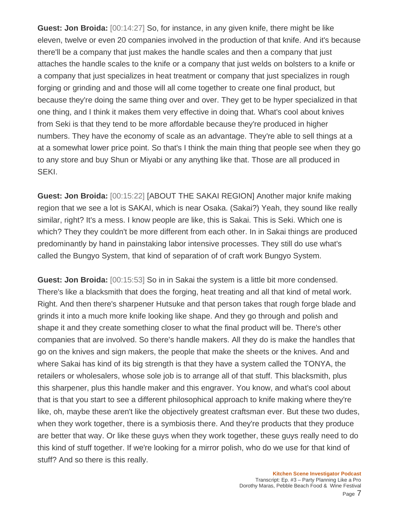**Guest: Jon Broida:** [00:14:27] So, for instance, in any given knife, there might be like eleven, twelve or even 20 companies involved in the production of that knife. And it's because there'll be a company that just makes the handle scales and then a company that just attaches the handle scales to the knife or a company that just welds on bolsters to a knife or a company that just specializes in heat treatment or company that just specializes in rough forging or grinding and and those will all come together to create one final product, but because they're doing the same thing over and over. They get to be hyper specialized in that one thing, and I think it makes them very effective in doing that. What's cool about knives from Seki is that they tend to be more affordable because they're produced in higher numbers. They have the economy of scale as an advantage. They're able to sell things at a at a somewhat lower price point. So that's I think the main thing that people see when they go to any store and buy Shun or Miyabi or any anything like that. Those are all produced in SEKI.

**Guest: Jon Broida:** [00:15:22] [ABOUT THE SAKAI REGION] Another major knife making region that we see a lot is SAKAI, which is near Osaka. (Sakai?) Yeah, they sound like really similar, right? It's a mess. I know people are like, this is Sakai. This is Seki. Which one is which? They they couldn't be more different from each other. In in Sakai things are produced predominantly by hand in painstaking labor intensive processes. They still do use what's called the Bungyo System, that kind of separation of of craft work Bungyo System.

**Guest: Jon Broida:** [00:15:53] So in in Sakai the system is a little bit more condensed. There's like a blacksmith that does the forging, heat treating and all that kind of metal work. Right. And then there's sharpener Hutsuke and that person takes that rough forge blade and grinds it into a much more knife looking like shape. And they go through and polish and shape it and they create something closer to what the final product will be. There's other companies that are involved. So there's handle makers. All they do is make the handles that go on the knives and sign makers, the people that make the sheets or the knives. And and where Sakai has kind of its big strength is that they have a system called the TONYA, the retailers or wholesalers, whose sole job is to arrange all of that stuff. This blacksmith, plus this sharpener, plus this handle maker and this engraver. You know, and what's cool about that is that you start to see a different philosophical approach to knife making where they're like, oh, maybe these aren't like the objectively greatest craftsman ever. But these two dudes, when they work together, there is a symbiosis there. And they're products that they produce are better that way. Or like these guys when they work together, these guys really need to do this kind of stuff together. If we're looking for a mirror polish, who do we use for that kind of stuff? And so there is this really.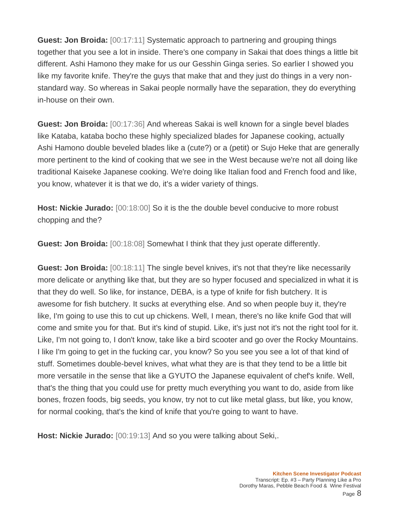**Guest: Jon Broida:** [00:17:11] Systematic approach to partnering and grouping things together that you see a lot in inside. There's one company in Sakai that does things a little bit different. Ashi Hamono they make for us our Gesshin Ginga series. So earlier I showed you like my favorite knife. They're the guys that make that and they just do things in a very nonstandard way. So whereas in Sakai people normally have the separation, they do everything in-house on their own.

**Guest: Jon Broida:** [00:17:36] And whereas Sakai is well known for a single bevel blades like Kataba, kataba bocho these highly specialized blades for Japanese cooking, actually Ashi Hamono double beveled blades like a (cute?) or a (petit) or Sujo Heke that are generally more pertinent to the kind of cooking that we see in the West because we're not all doing like traditional Kaiseke Japanese cooking. We're doing like Italian food and French food and like, you know, whatever it is that we do, it's a wider variety of things.

**Host: Nickie Jurado:** [00:18:00] So it is the the double bevel conducive to more robust chopping and the?

**Guest: Jon Broida:** [00:18:08] Somewhat I think that they just operate differently.

**Guest: Jon Broida:** [00:18:11] The single bevel knives, it's not that they're like necessarily more delicate or anything like that, but they are so hyper focused and specialized in what it is that they do well. So like, for instance, DEBA, is a type of knife for fish butchery. It is awesome for fish butchery. It sucks at everything else. And so when people buy it, they're like, I'm going to use this to cut up chickens. Well, I mean, there's no like knife God that will come and smite you for that. But it's kind of stupid. Like, it's just not it's not the right tool for it. Like, I'm not going to, I don't know, take like a bird scooter and go over the Rocky Mountains. I like I'm going to get in the fucking car, you know? So you see you see a lot of that kind of stuff. Sometimes double-bevel knives, what what they are is that they tend to be a little bit more versatile in the sense that like a GYUTO the Japanese equivalent of chef's knife. Well, that's the thing that you could use for pretty much everything you want to do, aside from like bones, frozen foods, big seeds, you know, try not to cut like metal glass, but like, you know, for normal cooking, that's the kind of knife that you're going to want to have.

**Host: Nickie Jurado:** [00:19:13] And so you were talking about Seki,.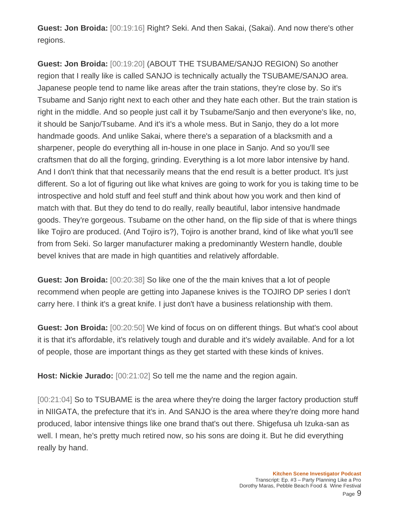**Guest: Jon Broida:** [00:19:16] Right? Seki. And then Sakai, (Sakai). And now there's other regions.

**Guest: Jon Broida:** [00:19:20] (ABOUT THE TSUBAME/SANJO REGION) So another region that I really like is called SANJO is technically actually the TSUBAME/SANJO area. Japanese people tend to name like areas after the train stations, they're close by. So it's Tsubame and Sanjo right next to each other and they hate each other. But the train station is right in the middle. And so people just call it by Tsubame/Sanjo and then everyone's like, no, it should be Sanjo/Tsubame. And it's it's a whole mess. But in Sanjo, they do a lot more handmade goods. And unlike Sakai, where there's a separation of a blacksmith and a sharpener, people do everything all in-house in one place in Sanjo. And so you'll see craftsmen that do all the forging, grinding. Everything is a lot more labor intensive by hand. And I don't think that that necessarily means that the end result is a better product. It's just different. So a lot of figuring out like what knives are going to work for you is taking time to be introspective and hold stuff and feel stuff and think about how you work and then kind of match with that. But they do tend to do really, really beautiful, labor intensive handmade goods. They're gorgeous. Tsubame on the other hand, on the flip side of that is where things like Tojiro are produced. (And Tojiro is?), Tojiro is another brand, kind of like what you'll see from from Seki. So larger manufacturer making a predominantly Western handle, double bevel knives that are made in high quantities and relatively affordable.

**Guest: Jon Broida:** [00:20:38] So like one of the the main knives that a lot of people recommend when people are getting into Japanese knives is the TOJIRO DP series I don't carry here. I think it's a great knife. I just don't have a business relationship with them.

**Guest: Jon Broida:** [00:20:50] We kind of focus on on different things. But what's cool about it is that it's affordable, it's relatively tough and durable and it's widely available. And for a lot of people, those are important things as they get started with these kinds of knives.

**Host: Nickie Jurado:** [00:21:02] So tell me the name and the region again.

[00:21:04] So to TSUBAME is the area where they're doing the larger factory production stuff in NIIGATA, the prefecture that it's in. And SANJO is the area where they're doing more hand produced, labor intensive things like one brand that's out there. Shigefusa uh Izuka-san as well. I mean, he's pretty much retired now, so his sons are doing it. But he did everything really by hand.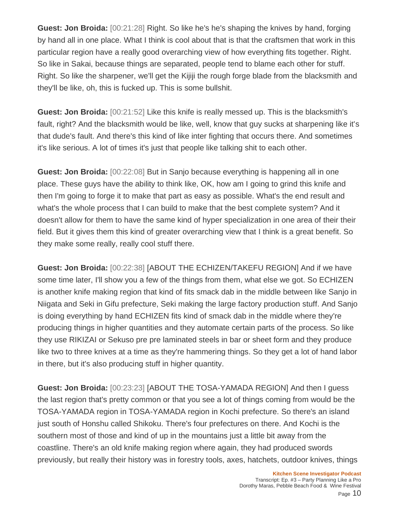**Guest: Jon Broida:** [00:21:28] Right. So like he's he's shaping the knives by hand, forging by hand all in one place. What I think is cool about that is that the craftsmen that work in this particular region have a really good overarching view of how everything fits together. Right. So like in Sakai, because things are separated, people tend to blame each other for stuff. Right. So like the sharpener, we'll get the Kijiji the rough forge blade from the blacksmith and they'll be like, oh, this is fucked up. This is some bullshit.

**Guest: Jon Broida:** [00:21:52] Like this knife is really messed up. This is the blacksmith's fault, right? And the blacksmith would be like, well, know that guy sucks at sharpening like it's that dude's fault. And there's this kind of like inter fighting that occurs there. And sometimes it's like serious. A lot of times it's just that people like talking shit to each other.

**Guest: Jon Broida:** [00:22:08] But in Sanjo because everything is happening all in one place. These guys have the ability to think like, OK, how am I going to grind this knife and then I'm going to forge it to make that part as easy as possible. What's the end result and what's the whole process that I can build to make that the best complete system? And it doesn't allow for them to have the same kind of hyper specialization in one area of their their field. But it gives them this kind of greater overarching view that I think is a great benefit. So they make some really, really cool stuff there.

**Guest: Jon Broida:** [00:22:38] [ABOUT THE ECHIZEN/TAKEFU REGION] And if we have some time later, I'll show you a few of the things from them, what else we got. So ECHIZEN is another knife making region that kind of fits smack dab in the middle between like Sanjo in Niigata and Seki in Gifu prefecture, Seki making the large factory production stuff. And Sanjo is doing everything by hand ECHIZEN fits kind of smack dab in the middle where they're producing things in higher quantities and they automate certain parts of the process. So like they use RIKIZAI or Sekuso pre pre laminated steels in bar or sheet form and they produce like two to three knives at a time as they're hammering things. So they get a lot of hand labor in there, but it's also producing stuff in higher quantity.

**Guest: Jon Broida:** [00:23:23] [ABOUT THE TOSA-YAMADA REGION] And then I guess the last region that's pretty common or that you see a lot of things coming from would be the TOSA-YAMADA region in TOSA-YAMADA region in Kochi prefecture. So there's an island just south of Honshu called Shikoku. There's four prefectures on there. And Kochi is the southern most of those and kind of up in the mountains just a little bit away from the coastline. There's an old knife making region where again, they had produced swords previously, but really their history was in forestry tools, axes, hatchets, outdoor knives, things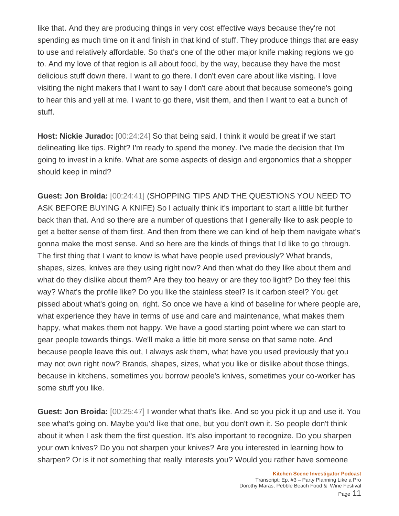like that. And they are producing things in very cost effective ways because they're not spending as much time on it and finish in that kind of stuff. They produce things that are easy to use and relatively affordable. So that's one of the other major knife making regions we go to. And my love of that region is all about food, by the way, because they have the most delicious stuff down there. I want to go there. I don't even care about like visiting. I love visiting the night makers that I want to say I don't care about that because someone's going to hear this and yell at me. I want to go there, visit them, and then I want to eat a bunch of stuff.

**Host: Nickie Jurado:** [00:24:24] So that being said, I think it would be great if we start delineating like tips. Right? I'm ready to spend the money. I've made the decision that I'm going to invest in a knife. What are some aspects of design and ergonomics that a shopper should keep in mind?

**Guest: Jon Broida:** [00:24:41] (SHOPPING TIPS AND THE QUESTIONS YOU NEED TO ASK BEFORE BUYING A KNIFE) So I actually think it's important to start a little bit further back than that. And so there are a number of questions that I generally like to ask people to get a better sense of them first. And then from there we can kind of help them navigate what's gonna make the most sense. And so here are the kinds of things that I'd like to go through. The first thing that I want to know is what have people used previously? What brands, shapes, sizes, knives are they using right now? And then what do they like about them and what do they dislike about them? Are they too heavy or are they too light? Do they feel this way? What's the profile like? Do you like the stainless steel? Is it carbon steel? You get pissed about what's going on, right. So once we have a kind of baseline for where people are, what experience they have in terms of use and care and maintenance, what makes them happy, what makes them not happy. We have a good starting point where we can start to gear people towards things. We'll make a little bit more sense on that same note. And because people leave this out, I always ask them, what have you used previously that you may not own right now? Brands, shapes, sizes, what you like or dislike about those things, because in kitchens, sometimes you borrow people's knives, sometimes your co-worker has some stuff you like.

**Guest: Jon Broida:** [00:25:47] I wonder what that's like. And so you pick it up and use it. You see what's going on. Maybe you'd like that one, but you don't own it. So people don't think about it when I ask them the first question. It's also important to recognize. Do you sharpen your own knives? Do you not sharpen your knives? Are you interested in learning how to sharpen? Or is it not something that really interests you? Would you rather have someone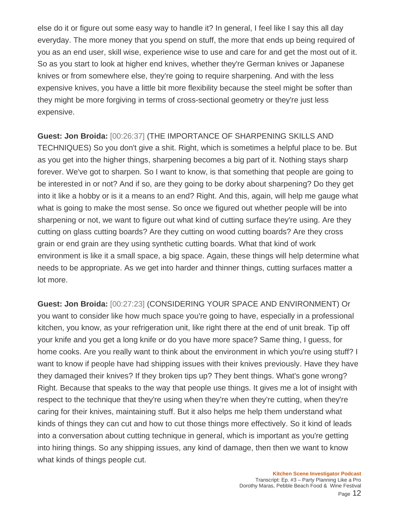else do it or figure out some easy way to handle it? In general, I feel like I say this all day everyday. The more money that you spend on stuff, the more that ends up being required of you as an end user, skill wise, experience wise to use and care for and get the most out of it. So as you start to look at higher end knives, whether they're German knives or Japanese knives or from somewhere else, they're going to require sharpening. And with the less expensive knives, you have a little bit more flexibility because the steel might be softer than they might be more forgiving in terms of cross-sectional geometry or they're just less expensive.

**Guest: Jon Broida:** [00:26:37] (THE IMPORTANCE OF SHARPENING SKILLS AND TECHNIQUES) So you don't give a shit. Right, which is sometimes a helpful place to be. But as you get into the higher things, sharpening becomes a big part of it. Nothing stays sharp forever. We've got to sharpen. So I want to know, is that something that people are going to be interested in or not? And if so, are they going to be dorky about sharpening? Do they get into it like a hobby or is it a means to an end? Right. And this, again, will help me gauge what what is going to make the most sense. So once we figured out whether people will be into sharpening or not, we want to figure out what kind of cutting surface they're using. Are they cutting on glass cutting boards? Are they cutting on wood cutting boards? Are they cross grain or end grain are they using synthetic cutting boards. What that kind of work environment is like it a small space, a big space. Again, these things will help determine what needs to be appropriate. As we get into harder and thinner things, cutting surfaces matter a lot more.

**Guest: Jon Broida:** [00:27:23] (CONSIDERING YOUR SPACE AND ENVIRONMENT) Or you want to consider like how much space you're going to have, especially in a professional kitchen, you know, as your refrigeration unit, like right there at the end of unit break. Tip off your knife and you get a long knife or do you have more space? Same thing, I guess, for home cooks. Are you really want to think about the environment in which you're using stuff? I want to know if people have had shipping issues with their knives previously. Have they have they damaged their knives? If they broken tips up? They bent things. What's gone wrong? Right. Because that speaks to the way that people use things. It gives me a lot of insight with respect to the technique that they're using when they're when they're cutting, when they're caring for their knives, maintaining stuff. But it also helps me help them understand what kinds of things they can cut and how to cut those things more effectively. So it kind of leads into a conversation about cutting technique in general, which is important as you're getting into hiring things. So any shipping issues, any kind of damage, then then we want to know what kinds of things people cut.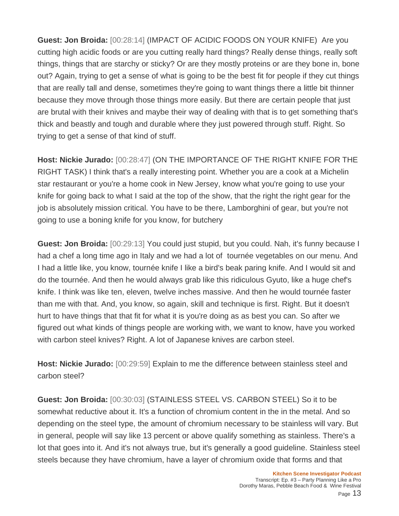**Guest: Jon Broida:** [00:28:14] (IMPACT OF ACIDIC FOODS ON YOUR KNIFE) Are you cutting high acidic foods or are you cutting really hard things? Really dense things, really soft things, things that are starchy or sticky? Or are they mostly proteins or are they bone in, bone out? Again, trying to get a sense of what is going to be the best fit for people if they cut things that are really tall and dense, sometimes they're going to want things there a little bit thinner because they move through those things more easily. But there are certain people that just are brutal with their knives and maybe their way of dealing with that is to get something that's thick and beastly and tough and durable where they just powered through stuff. Right. So trying to get a sense of that kind of stuff.

**Host: Nickie Jurado:** [00:28:47] (ON THE IMPORTANCE OF THE RIGHT KNIFE FOR THE RIGHT TASK) I think that's a really interesting point. Whether you are a cook at a Michelin star restaurant or you're a home cook in New Jersey, know what you're going to use your knife for going back to what I said at the top of the show, that the right the right gear for the job is absolutely mission critical. You have to be there, Lamborghini of gear, but you're not going to use a boning knife for you know, for butchery

**Guest: Jon Broida:** [00:29:13] You could just stupid, but you could. Nah, it's funny because I had a chef a long time ago in Italy and we had a lot of tournée vegetables on our menu. And I had a little like, you know, tournée knife I like a bird's beak paring knife. And I would sit and do the tournée. And then he would always grab like this ridiculous Gyuto, like a huge chef's knife. I think was like ten, eleven, twelve inches massive. And then he would tournée faster than me with that. And, you know, so again, skill and technique is first. Right. But it doesn't hurt to have things that that fit for what it is you're doing as as best you can. So after we figured out what kinds of things people are working with, we want to know, have you worked with carbon steel knives? Right. A lot of Japanese knives are carbon steel.

**Host: Nickie Jurado:** [00:29:59] Explain to me the difference between stainless steel and carbon steel?

**Guest: Jon Broida:** [00:30:03] (STAINLESS STEEL VS. CARBON STEEL) So it to be somewhat reductive about it. It's a function of chromium content in the in the metal. And so depending on the steel type, the amount of chromium necessary to be stainless will vary. But in general, people will say like 13 percent or above qualify something as stainless. There's a lot that goes into it. And it's not always true, but it's generally a good guideline. Stainless steel steels because they have chromium, have a layer of chromium oxide that forms and that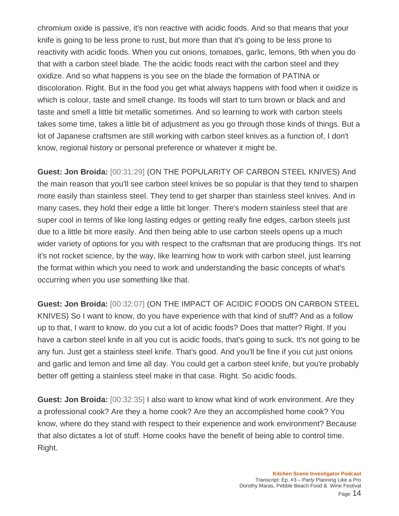chromium oxide is passive, it's non reactive with acidic foods. And so that means that your knife is going to be less prone to rust, but more than that it's going to be less prone to reactivity with acidic foods. When you cut onions, tomatoes, garlic, lemons, 9th when you do that with a carbon steel blade. The the acidic foods react with the carbon steel and they oxidize. And so what happens is you see on the blade the formation of PATINA or discoloration. Right. But in the food you get what always happens with food when it oxidize is which is colour, taste and smell change. Its foods will start to turn brown or black and and taste and smell a little bit metallic sometimes. And so learning to work with carbon steels takes some time, takes a little bit of adjustment as you go through those kinds of things. But a lot of Japanese craftsmen are still working with carbon steel knives as a function of, I don't know, regional history or personal preference or whatever it might be.

**Guest: Jon Broida:** [00:31:29] (ON THE POPULARITY OF CARBON STEEL KNIVES) And the main reason that you'll see carbon steel knives be so popular is that they tend to sharpen more easily than stainless steel. They tend to get sharper than stainless steel knives. And in many cases, they hold their edge a little bit longer. There's modern stainless steel that are super cool in terms of like long lasting edges or getting really fine edges, carbon steels just due to a little bit more easily. And then being able to use carbon steels opens up a much wider variety of options for you with respect to the craftsman that are producing things. It's not it's not rocket science, by the way, like learning how to work with carbon steel, just learning the format within which you need to work and understanding the basic concepts of what's occurring when you use something like that.

**Guest: Jon Broida:** [00:32:07] (ON THE IMPACT OF ACIDIC FOODS ON CARBON STEEL KNIVES) So I want to know, do you have experience with that kind of stuff? And as a follow up to that, I want to know, do you cut a lot of acidic foods? Does that matter? Right. If you have a carbon steel knife in all you cut is acidic foods, that's going to suck. It's not going to be any fun. Just get a stainless steel knife. That's good. And you'll be fine if you cut just onions and garlic and lemon and lime all day. You could get a carbon steel knife, but you're probably better off getting a stainless steel make in that case. Right. So acidic foods.

**Guest: Jon Broida:** [00:32:35] I also want to know what kind of work environment. Are they a professional cook? Are they a home cook? Are they an accomplished home cook? You know, where do they stand with respect to their experience and work environment? Because that also dictates a lot of stuff. Home cooks have the benefit of being able to control time. Right.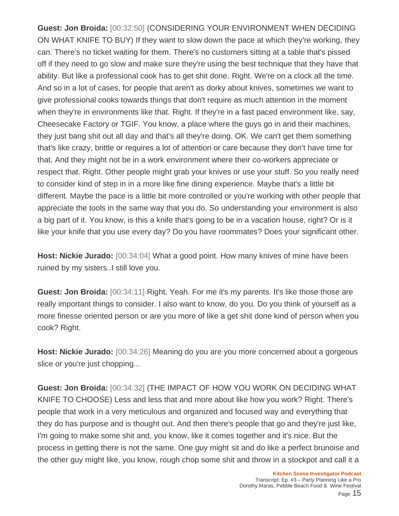**Guest: Jon Broida:** [00:32:50] (CONSIDERING YOUR ENVIRONMENT WHEN DECIDING ON WHAT KNIFE TO BUY) If they want to slow down the pace at which they're working, they can. There's no ticket waiting for them. There's no customers sitting at a table that's pissed off if they need to go slow and make sure they're using the best technique that they have that ability. But like a professional cook has to get shit done. Right. We're on a clock all the time. And so in a lot of cases, for people that aren't as dorky about knives, sometimes we want to give professional cooks towards things that don't require as much attention in the moment when they're in environments like that. Right. If they're in a fast paced environment like, say, Cheesecake Factory or TGIF. You know, a place where the guys go in and their machines, they just bang shit out all day and that's all they're doing. OK. We can't get them something that's like crazy, brittle or requires a lot of attention or care because they don't have time for that. And they might not be in a work environment where their co-workers appreciate or respect that. Right. Other people might grab your knives or use your stuff. So you really need to consider kind of step in in a more like fine dining experience. Maybe that's a little bit different. Maybe the pace is a little bit more controlled or you're working with other people that appreciate the tools in the same way that you do. So understanding your environment is also a big part of it. You know, is this a knife that's going to be in a vacation house, right? Or is it like your knife that you use every day? Do you have roommates? Does your significant other.

**Host: Nickie Jurado:** [00:34:04] What a good point. How many knives of mine have been ruined by my sisters..I still love you.

**Guest: Jon Broida:** [00:34:11] Right. Yeah. For me it's my parents. It's like those those are really important things to consider. I also want to know, do you. Do you think of yourself as a more finesse oriented person or are you more of like a get shit done kind of person when you cook? Right.

**Host: Nickie Jurado:** [00:34:26] Meaning do you are you more concerned about a gorgeous slice or you're just chopping...

**Guest: Jon Broida:** [00:34:32] (THE IMPACT OF HOW YOU WORK ON DECIDING WHAT KNIFE TO CHOOSE) Less and less that and more about like how you work? Right. There's people that work in a very meticulous and organized and focused way and everything that they do has purpose and is thought out. And then there's people that go and they're just like, I'm going to make some shit and, you know, like it comes together and it's nice. But the process in getting there is not the same. One guy might sit and do like a perfect brunoise and the other guy might like, you know, rough chop some shit and throw in a stockpot and call it a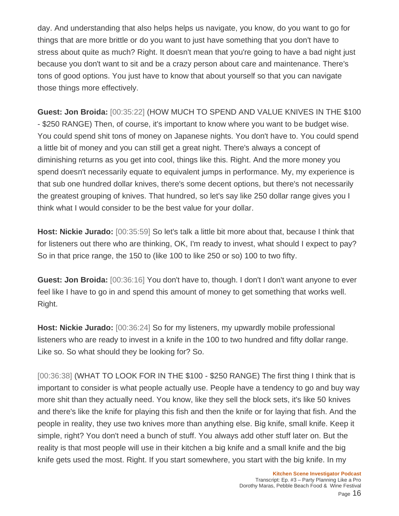day. And understanding that also helps helps us navigate, you know, do you want to go for things that are more brittle or do you want to just have something that you don't have to stress about quite as much? Right. It doesn't mean that you're going to have a bad night just because you don't want to sit and be a crazy person about care and maintenance. There's tons of good options. You just have to know that about yourself so that you can navigate those things more effectively.

**Guest: Jon Broida:** [00:35:22] (HOW MUCH TO SPEND AND VALUE KNIVES IN THE \$100 - \$250 RANGE) Then, of course, it's important to know where you want to be budget wise. You could spend shit tons of money on Japanese nights. You don't have to. You could spend a little bit of money and you can still get a great night. There's always a concept of diminishing returns as you get into cool, things like this. Right. And the more money you spend doesn't necessarily equate to equivalent jumps in performance. My, my experience is that sub one hundred dollar knives, there's some decent options, but there's not necessarily the greatest grouping of knives. That hundred, so let's say like 250 dollar range gives you I think what I would consider to be the best value for your dollar.

**Host: Nickie Jurado:** [00:35:59] So let's talk a little bit more about that, because I think that for listeners out there who are thinking, OK, I'm ready to invest, what should I expect to pay? So in that price range, the 150 to (like 100 to like 250 or so) 100 to two fifty.

**Guest: Jon Broida:** [00:36:16] You don't have to, though. I don't I don't want anyone to ever feel like I have to go in and spend this amount of money to get something that works well. Right.

**Host: Nickie Jurado:** [00:36:24] So for my listeners, my upwardly mobile professional listeners who are ready to invest in a knife in the 100 to two hundred and fifty dollar range. Like so. So what should they be looking for? So.

[00:36:38] (WHAT TO LOOK FOR IN THE \$100 - \$250 RANGE) The first thing I think that is important to consider is what people actually use. People have a tendency to go and buy way more shit than they actually need. You know, like they sell the block sets, it's like 50 knives and there's like the knife for playing this fish and then the knife or for laying that fish. And the people in reality, they use two knives more than anything else. Big knife, small knife. Keep it simple, right? You don't need a bunch of stuff. You always add other stuff later on. But the reality is that most people will use in their kitchen a big knife and a small knife and the big knife gets used the most. Right. If you start somewhere, you start with the big knife. In my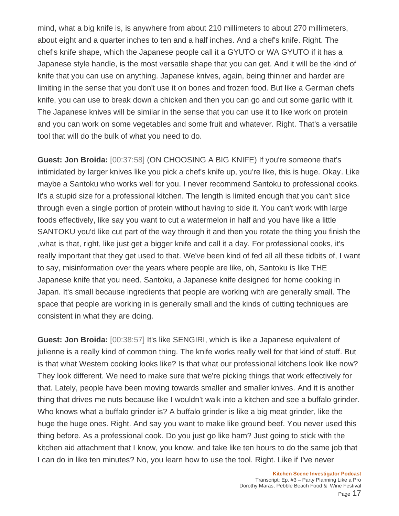mind, what a big knife is, is anywhere from about 210 millimeters to about 270 millimeters, about eight and a quarter inches to ten and a half inches. And a chef's knife. Right. The chef's knife shape, which the Japanese people call it a GYUTO or WA GYUTO if it has a Japanese style handle, is the most versatile shape that you can get. And it will be the kind of knife that you can use on anything. Japanese knives, again, being thinner and harder are limiting in the sense that you don't use it on bones and frozen food. But like a German chefs knife, you can use to break down a chicken and then you can go and cut some garlic with it. The Japanese knives will be similar in the sense that you can use it to like work on protein and you can work on some vegetables and some fruit and whatever. Right. That's a versatile tool that will do the bulk of what you need to do.

**Guest: Jon Broida:** [00:37:58] (ON CHOOSING A BIG KNIFE) If you're someone that's intimidated by larger knives like you pick a chef's knife up, you're like, this is huge. Okay. Like maybe a Santoku who works well for you. I never recommend Santoku to professional cooks. It's a stupid size for a professional kitchen. The length is limited enough that you can't slice through even a single portion of protein without having to side it. You can't work with large foods effectively, like say you want to cut a watermelon in half and you have like a little SANTOKU you'd like cut part of the way through it and then you rotate the thing you finish the ,what is that, right, like just get a bigger knife and call it a day. For professional cooks, it's really important that they get used to that. We've been kind of fed all all these tidbits of, I want to say, misinformation over the years where people are like, oh, Santoku is like THE Japanese knife that you need. Santoku, a Japanese knife designed for home cooking in Japan. It's small because ingredients that people are working with are generally small. The space that people are working in is generally small and the kinds of cutting techniques are consistent in what they are doing.

**Guest: Jon Broida:** [00:38:57] It's like SENGIRI, which is like a Japanese equivalent of julienne is a really kind of common thing. The knife works really well for that kind of stuff. But is that what Western cooking looks like? Is that what our professional kitchens look like now? They look different. We need to make sure that we're picking things that work effectively for that. Lately, people have been moving towards smaller and smaller knives. And it is another thing that drives me nuts because like I wouldn't walk into a kitchen and see a buffalo grinder. Who knows what a buffalo grinder is? A buffalo grinder is like a big meat grinder, like the huge the huge ones. Right. And say you want to make like ground beef. You never used this thing before. As a professional cook. Do you just go like ham? Just going to stick with the kitchen aid attachment that I know, you know, and take like ten hours to do the same job that I can do in like ten minutes? No, you learn how to use the tool. Right. Like if I've never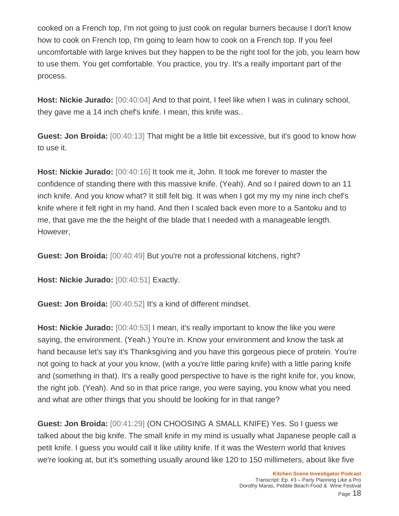cooked on a French top, I'm not going to just cook on regular burners because I don't know how to cook on French top, I'm going to learn how to cook on a French top. If you feel uncomfortable with large knives but they happen to be the right tool for the job, you learn how to use them. You get comfortable. You practice, you try. It's a really important part of the process.

**Host: Nickie Jurado:** [00:40:04] And to that point, I feel like when I was in culinary school, they gave me a 14 inch chef's knife. I mean, this knife was..

**Guest: Jon Broida:** [00:40:13] That might be a little bit excessive, but it's good to know how to use it.

**Host: Nickie Jurado:** [00:40:16] It took me it, John. It took me forever to master the confidence of standing there with this massive knife. (Yeah). And so I paired down to an 11 inch knife. And you know what? It still felt big. It was when I got my my my nine inch chef's knife where it felt right in my hand. And then I scaled back even more to a Santoku and to me, that gave me the the height of the blade that I needed with a manageable length. However,

**Guest: Jon Broida:** [00:40:49] But you're not a professional kitchens, right?

**Host: Nickie Jurado:** [00:40:51] Exactly.

**Guest: Jon Broida:** [00:40:52] It's a kind of different mindset.

**Host: Nickie Jurado:** [00:40:53] I mean, it's really important to know the like you were saying, the environment. (Yeah.) You're in. Know your environment and know the task at hand because let's say it's Thanksgiving and you have this gorgeous piece of protein. You're not going to hack at your you know, (with a you're little paring knife) with a little paring knife and (something in that). It's a really good perspective to have is the right knife for, you know, the right job. (Yeah). And so in that price range, you were saying, you know what you need and what are other things that you should be looking for in that range?

**Guest: Jon Broida:** [00:41:29] (ON CHOOSING A SMALL KNIFE) Yes. So I guess we talked about the big knife. The small knife in my mind is usually what Japanese people call a petit knife. I guess you would call it like utility knife. If it was the Western world that knives we're looking at, but it's something usually around like 120 to 150 millimeters, about like five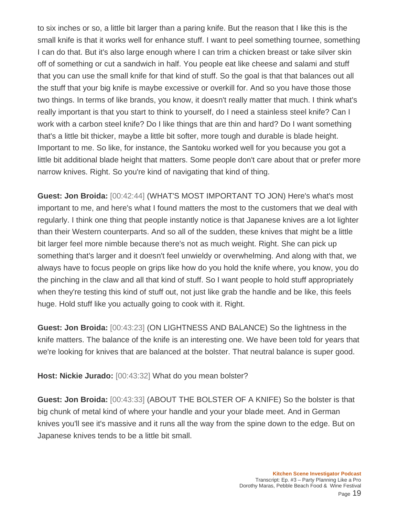to six inches or so, a little bit larger than a paring knife. But the reason that I like this is the small knife is that it works well for enhance stuff. I want to peel something tournee, something I can do that. But it's also large enough where I can trim a chicken breast or take silver skin off of something or cut a sandwich in half. You people eat like cheese and salami and stuff that you can use the small knife for that kind of stuff. So the goal is that that balances out all the stuff that your big knife is maybe excessive or overkill for. And so you have those those two things. In terms of like brands, you know, it doesn't really matter that much. I think what's really important is that you start to think to yourself, do I need a stainless steel knife? Can I work with a carbon steel knife? Do I like things that are thin and hard? Do I want something that's a little bit thicker, maybe a little bit softer, more tough and durable is blade height. Important to me. So like, for instance, the Santoku worked well for you because you got a little bit additional blade height that matters. Some people don't care about that or prefer more narrow knives. Right. So you're kind of navigating that kind of thing.

**Guest: Jon Broida:** [00:42:44] (WHAT'S MOST IMPORTANT TO JON) Here's what's most important to me, and here's what I found matters the most to the customers that we deal with regularly. I think one thing that people instantly notice is that Japanese knives are a lot lighter than their Western counterparts. And so all of the sudden, these knives that might be a little bit larger feel more nimble because there's not as much weight. Right. She can pick up something that's larger and it doesn't feel unwieldy or overwhelming. And along with that, we always have to focus people on grips like how do you hold the knife where, you know, you do the pinching in the claw and all that kind of stuff. So I want people to hold stuff appropriately when they're testing this kind of stuff out, not just like grab the handle and be like, this feels huge. Hold stuff like you actually going to cook with it. Right.

**Guest: Jon Broida:** [00:43:23] (ON LIGHTNESS AND BALANCE) So the lightness in the knife matters. The balance of the knife is an interesting one. We have been told for years that we're looking for knives that are balanced at the bolster. That neutral balance is super good.

**Host: Nickie Jurado:** [00:43:32] What do you mean bolster?

**Guest: Jon Broida:** [00:43:33] (ABOUT THE BOLSTER OF A KNIFE) So the bolster is that big chunk of metal kind of where your handle and your your blade meet. And in German knives you'll see it's massive and it runs all the way from the spine down to the edge. But on Japanese knives tends to be a little bit small.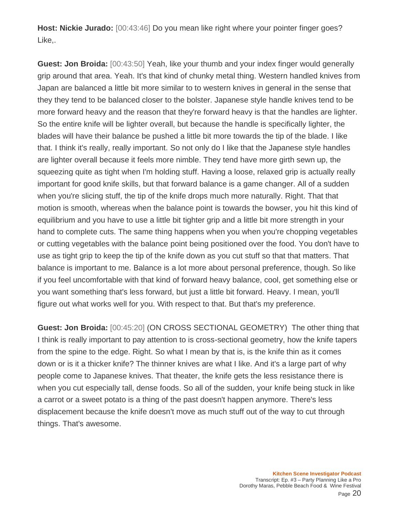**Host: Nickie Jurado:** [00:43:46] Do you mean like right where your pointer finger goes? Like,.

**Guest: Jon Broida:** [00:43:50] Yeah, like your thumb and your index finger would generally grip around that area. Yeah. It's that kind of chunky metal thing. Western handled knives from Japan are balanced a little bit more similar to to western knives in general in the sense that they they tend to be balanced closer to the bolster. Japanese style handle knives tend to be more forward heavy and the reason that they're forward heavy is that the handles are lighter. So the entire knife will be lighter overall, but because the handle is specifically lighter, the blades will have their balance be pushed a little bit more towards the tip of the blade. I like that. I think it's really, really important. So not only do I like that the Japanese style handles are lighter overall because it feels more nimble. They tend have more girth sewn up, the squeezing quite as tight when I'm holding stuff. Having a loose, relaxed grip is actually really important for good knife skills, but that forward balance is a game changer. All of a sudden when you're slicing stuff, the tip of the knife drops much more naturally. Right. That that motion is smooth, whereas when the balance point is towards the bowser, you hit this kind of equilibrium and you have to use a little bit tighter grip and a little bit more strength in your hand to complete cuts. The same thing happens when you when you're chopping vegetables or cutting vegetables with the balance point being positioned over the food. You don't have to use as tight grip to keep the tip of the knife down as you cut stuff so that that matters. That balance is important to me. Balance is a lot more about personal preference, though. So like if you feel uncomfortable with that kind of forward heavy balance, cool, get something else or you want something that's less forward, but just a little bit forward. Heavy. I mean, you'll figure out what works well for you. With respect to that. But that's my preference.

**Guest: Jon Broida:** [00:45:20] (ON CROSS SECTIONAL GEOMETRY) The other thing that I think is really important to pay attention to is cross-sectional geometry, how the knife tapers from the spine to the edge. Right. So what I mean by that is, is the knife thin as it comes down or is it a thicker knife? The thinner knives are what I like. And it's a large part of why people come to Japanese knives. That theater, the knife gets the less resistance there is when you cut especially tall, dense foods. So all of the sudden, your knife being stuck in like a carrot or a sweet potato is a thing of the past doesn't happen anymore. There's less displacement because the knife doesn't move as much stuff out of the way to cut through things. That's awesome.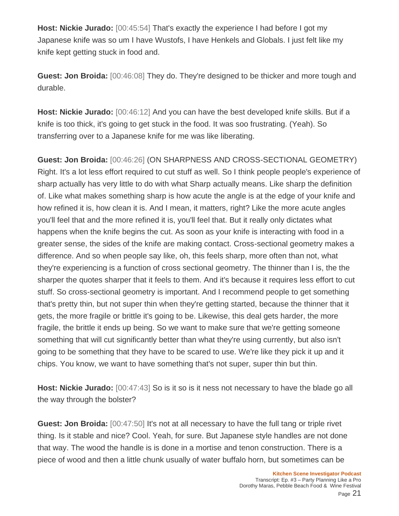**Host: Nickie Jurado:** [00:45:54] That's exactly the experience I had before I got my Japanese knife was so um I have Wustofs, I have Henkels and Globals. I just felt like my knife kept getting stuck in food and.

**Guest: Jon Broida:** [00:46:08] They do. They're designed to be thicker and more tough and durable.

**Host: Nickie Jurado:** [00:46:12] And you can have the best developed knife skills. But if a knife is too thick, it's going to get stuck in the food. It was soo frustrating. (Yeah). So transferring over to a Japanese knife for me was like liberating.

**Guest: Jon Broida:** [00:46:26] (ON SHARPNESS AND CROSS-SECTIONAL GEOMETRY) Right. It's a lot less effort required to cut stuff as well. So I think people people's experience of sharp actually has very little to do with what Sharp actually means. Like sharp the definition of. Like what makes something sharp is how acute the angle is at the edge of your knife and how refined it is, how clean it is. And I mean, it matters, right? Like the more acute angles you'll feel that and the more refined it is, you'll feel that. But it really only dictates what happens when the knife begins the cut. As soon as your knife is interacting with food in a greater sense, the sides of the knife are making contact. Cross-sectional geometry makes a difference. And so when people say like, oh, this feels sharp, more often than not, what they're experiencing is a function of cross sectional geometry. The thinner than I is, the the sharper the quotes sharper that it feels to them. And it's because it requires less effort to cut stuff. So cross-sectional geometry is important. And I recommend people to get something that's pretty thin, but not super thin when they're getting started, because the thinner that it gets, the more fragile or brittle it's going to be. Likewise, this deal gets harder, the more fragile, the brittle it ends up being. So we want to make sure that we're getting someone something that will cut significantly better than what they're using currently, but also isn't going to be something that they have to be scared to use. We're like they pick it up and it chips. You know, we want to have something that's not super, super thin but thin.

**Host: Nickie Jurado:**  $[00:47:43]$  So is it so is it ness not necessary to have the blade go all the way through the bolster?

**Guest: Jon Broida:** [00:47:50] It's not at all necessary to have the full tang or triple rivet thing. Is it stable and nice? Cool. Yeah, for sure. But Japanese style handles are not done that way. The wood the handle is is done in a mortise and tenon construction. There is a piece of wood and then a little chunk usually of water buffalo horn, but sometimes can be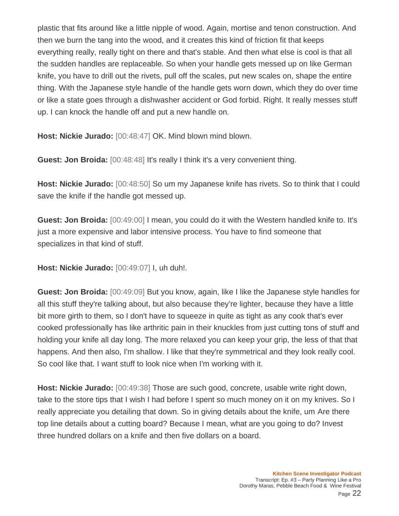plastic that fits around like a little nipple of wood. Again, mortise and tenon construction. And then we burn the tang into the wood, and it creates this kind of friction fit that keeps everything really, really tight on there and that's stable. And then what else is cool is that all the sudden handles are replaceable. So when your handle gets messed up on like German knife, you have to drill out the rivets, pull off the scales, put new scales on, shape the entire thing. With the Japanese style handle of the handle gets worn down, which they do over time or like a state goes through a dishwasher accident or God forbid. Right. It really messes stuff up. I can knock the handle off and put a new handle on.

**Host: Nickie Jurado:** [00:48:47] OK. Mind blown mind blown.

**Guest: Jon Broida:** [00:48:48] It's really I think it's a very convenient thing.

**Host: Nickie Jurado:** [00:48:50] So um my Japanese knife has rivets. So to think that I could save the knife if the handle got messed up.

**Guest: Jon Broida:** [00:49:00] I mean, you could do it with the Western handled knife to. It's just a more expensive and labor intensive process. You have to find someone that specializes in that kind of stuff.

**Host: Nickie Jurado:** [00:49:07] I, uh duh!.

**Guest: Jon Broida:** [00:49:09] But you know, again, like I like the Japanese style handles for all this stuff they're talking about, but also because they're lighter, because they have a little bit more girth to them, so I don't have to squeeze in quite as tight as any cook that's ever cooked professionally has like arthritic pain in their knuckles from just cutting tons of stuff and holding your knife all day long. The more relaxed you can keep your grip, the less of that that happens. And then also, I'm shallow. I like that they're symmetrical and they look really cool. So cool like that. I want stuff to look nice when I'm working with it.

**Host: Nickie Jurado:** [00:49:38] Those are such good, concrete, usable write right down, take to the store tips that I wish I had before I spent so much money on it on my knives. So I really appreciate you detailing that down. So in giving details about the knife, um Are there top line details about a cutting board? Because I mean, what are you going to do? Invest three hundred dollars on a knife and then five dollars on a board.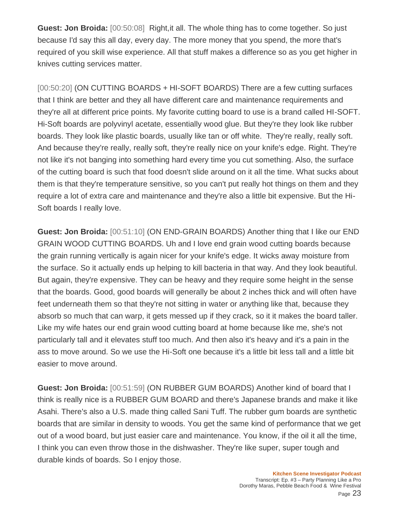**Guest: Jon Broida:** [00:50:08] Right,it all. The whole thing has to come together. So just because I'd say this all day, every day. The more money that you spend, the more that's required of you skill wise experience. All that stuff makes a difference so as you get higher in knives cutting services matter.

[00:50:20] (ON CUTTING BOARDS + HI-SOFT BOARDS) There are a few cutting surfaces that I think are better and they all have different care and maintenance requirements and they're all at different price points. My favorite cutting board to use is a brand called HI-SOFT. Hi-Soft boards are polyvinyl acetate, essentially wood glue. But they're they look like rubber boards. They look like plastic boards, usually like tan or off white. They're really, really soft. And because they're really, really soft, they're really nice on your knife's edge. Right. They're not like it's not banging into something hard every time you cut something. Also, the surface of the cutting board is such that food doesn't slide around on it all the time. What sucks about them is that they're temperature sensitive, so you can't put really hot things on them and they require a lot of extra care and maintenance and they're also a little bit expensive. But the Hi-Soft boards I really love.

**Guest: Jon Broida:** [00:51:10] (ON END-GRAIN BOARDS) Another thing that I like our END GRAIN WOOD CUTTING BOARDS. Uh and I love end grain wood cutting boards because the grain running vertically is again nicer for your knife's edge. It wicks away moisture from the surface. So it actually ends up helping to kill bacteria in that way. And they look beautiful. But again, they're expensive. They can be heavy and they require some height in the sense that the boards. Good, good boards will generally be about 2 inches thick and will often have feet underneath them so that they're not sitting in water or anything like that, because they absorb so much that can warp, it gets messed up if they crack, so it it makes the board taller. Like my wife hates our end grain wood cutting board at home because like me, she's not particularly tall and it elevates stuff too much. And then also it's heavy and it's a pain in the ass to move around. So we use the Hi-Soft one because it's a little bit less tall and a little bit easier to move around.

**Guest: Jon Broida:** [00:51:59] (ON RUBBER GUM BOARDS) Another kind of board that I think is really nice is a RUBBER GUM BOARD and there's Japanese brands and make it like Asahi. There's also a U.S. made thing called Sani Tuff. The rubber gum boards are synthetic boards that are similar in density to woods. You get the same kind of performance that we get out of a wood board, but just easier care and maintenance. You know, if the oil it all the time, I think you can even throw those in the dishwasher. They're like super, super tough and durable kinds of boards. So I enjoy those.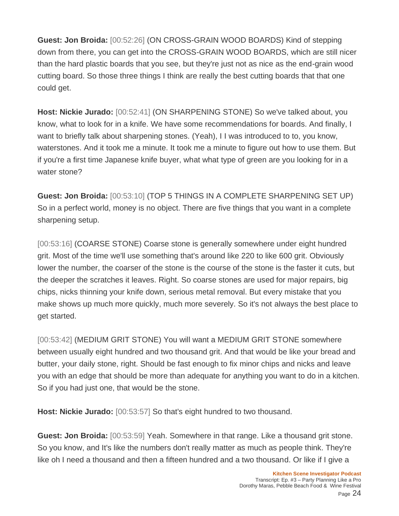**Guest: Jon Broida:** [00:52:26] (ON CROSS-GRAIN WOOD BOARDS) Kind of stepping down from there, you can get into the CROSS-GRAIN WOOD BOARDS, which are still nicer than the hard plastic boards that you see, but they're just not as nice as the end-grain wood cutting board. So those three things I think are really the best cutting boards that that one could get.

**Host: Nickie Jurado:** [00:52:41] (ON SHARPENING STONE) So we've talked about, you know, what to look for in a knife. We have some recommendations for boards. And finally, I want to briefly talk about sharpening stones. (Yeah), I I was introduced to to, you know, waterstones. And it took me a minute. It took me a minute to figure out how to use them. But if you're a first time Japanese knife buyer, what what type of green are you looking for in a water stone?

**Guest: Jon Broida:** [00:53:10] (TOP 5 THINGS IN A COMPLETE SHARPENING SET UP) So in a perfect world, money is no object. There are five things that you want in a complete sharpening setup.

[00:53:16] (COARSE STONE) Coarse stone is generally somewhere under eight hundred grit. Most of the time we'll use something that's around like 220 to like 600 grit. Obviously lower the number, the coarser of the stone is the course of the stone is the faster it cuts, but the deeper the scratches it leaves. Right. So coarse stones are used for major repairs, big chips, nicks thinning your knife down, serious metal removal. But every mistake that you make shows up much more quickly, much more severely. So it's not always the best place to get started.

[00:53:42] (MEDIUM GRIT STONE) You will want a MEDIUM GRIT STONE somewhere between usually eight hundred and two thousand grit. And that would be like your bread and butter, your daily stone, right. Should be fast enough to fix minor chips and nicks and leave you with an edge that should be more than adequate for anything you want to do in a kitchen. So if you had just one, that would be the stone.

**Host: Nickie Jurado:** [00:53:57] So that's eight hundred to two thousand.

**Guest: Jon Broida:** [00:53:59] Yeah. Somewhere in that range. Like a thousand grit stone. So you know, and It's like the numbers don't really matter as much as people think. They're like oh I need a thousand and then a fifteen hundred and a two thousand. Or like if I give a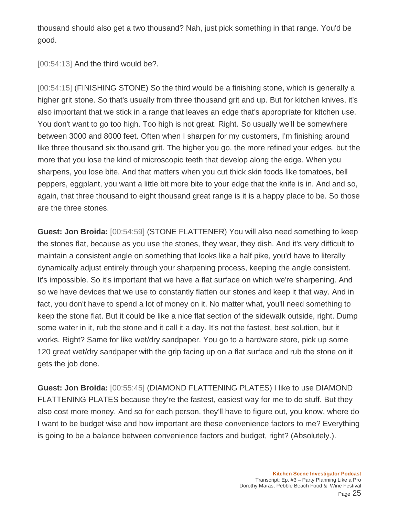thousand should also get a two thousand? Nah, just pick something in that range. You'd be good.

[00:54:13] And the third would be?.

[00:54:15] (FINISHING STONE) So the third would be a finishing stone, which is generally a higher grit stone. So that's usually from three thousand grit and up. But for kitchen knives, it's also important that we stick in a range that leaves an edge that's appropriate for kitchen use. You don't want to go too high. Too high is not great. Right. So usually we'll be somewhere between 3000 and 8000 feet. Often when I sharpen for my customers, I'm finishing around like three thousand six thousand grit. The higher you go, the more refined your edges, but the more that you lose the kind of microscopic teeth that develop along the edge. When you sharpens, you lose bite. And that matters when you cut thick skin foods like tomatoes, bell peppers, eggplant, you want a little bit more bite to your edge that the knife is in. And and so, again, that three thousand to eight thousand great range is it is a happy place to be. So those are the three stones.

**Guest: Jon Broida:** [00:54:59] (STONE FLATTENER) You will also need something to keep the stones flat, because as you use the stones, they wear, they dish. And it's very difficult to maintain a consistent angle on something that looks like a half pike, you'd have to literally dynamically adjust entirely through your sharpening process, keeping the angle consistent. It's impossible. So it's important that we have a flat surface on which we're sharpening. And so we have devices that we use to constantly flatten our stones and keep it that way. And in fact, you don't have to spend a lot of money on it. No matter what, you'll need something to keep the stone flat. But it could be like a nice flat section of the sidewalk outside, right. Dump some water in it, rub the stone and it call it a day. It's not the fastest, best solution, but it works. Right? Same for like wet/dry sandpaper. You go to a hardware store, pick up some 120 great wet/dry sandpaper with the grip facing up on a flat surface and rub the stone on it gets the job done.

**Guest: Jon Broida:** [00:55:45] (DIAMOND FLATTENING PLATES) I like to use DIAMOND FLATTENING PLATES because they're the fastest, easiest way for me to do stuff. But they also cost more money. And so for each person, they'll have to figure out, you know, where do I want to be budget wise and how important are these convenience factors to me? Everything is going to be a balance between convenience factors and budget, right? (Absolutely.).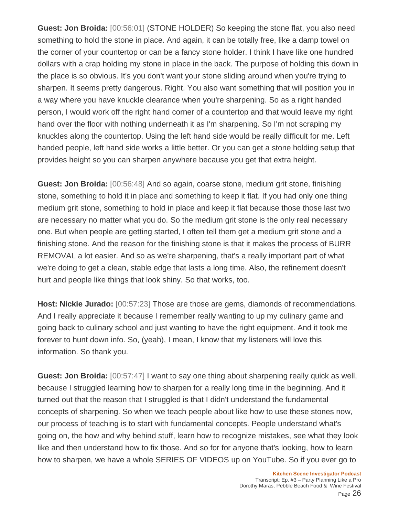**Guest: Jon Broida:** [00:56:01] (STONE HOLDER) So keeping the stone flat, you also need something to hold the stone in place. And again, it can be totally free, like a damp towel on the corner of your countertop or can be a fancy stone holder. I think I have like one hundred dollars with a crap holding my stone in place in the back. The purpose of holding this down in the place is so obvious. It's you don't want your stone sliding around when you're trying to sharpen. It seems pretty dangerous. Right. You also want something that will position you in a way where you have knuckle clearance when you're sharpening. So as a right handed person, I would work off the right hand corner of a countertop and that would leave my right hand over the floor with nothing underneath it as I'm sharpening. So I'm not scraping my knuckles along the countertop. Using the left hand side would be really difficult for me. Left handed people, left hand side works a little better. Or you can get a stone holding setup that provides height so you can sharpen anywhere because you get that extra height.

**Guest: Jon Broida:** [00:56:48] And so again, coarse stone, medium grit stone, finishing stone, something to hold it in place and something to keep it flat. If you had only one thing medium grit stone, something to hold in place and keep it flat because those those last two are necessary no matter what you do. So the medium grit stone is the only real necessary one. But when people are getting started, I often tell them get a medium grit stone and a finishing stone. And the reason for the finishing stone is that it makes the process of BURR REMOVAL a lot easier. And so as we're sharpening, that's a really important part of what we're doing to get a clean, stable edge that lasts a long time. Also, the refinement doesn't hurt and people like things that look shiny. So that works, too.

**Host: Nickie Jurado:** [00:57:23] Those are those are gems, diamonds of recommendations. And I really appreciate it because I remember really wanting to up my culinary game and going back to culinary school and just wanting to have the right equipment. And it took me forever to hunt down info. So, (yeah), I mean, I know that my listeners will love this information. So thank you.

**Guest: Jon Broida:** [00:57:47] I want to say one thing about sharpening really quick as well, because I struggled learning how to sharpen for a really long time in the beginning. And it turned out that the reason that I struggled is that I didn't understand the fundamental concepts of sharpening. So when we teach people about like how to use these stones now, our process of teaching is to start with fundamental concepts. People understand what's going on, the how and why behind stuff, learn how to recognize mistakes, see what they look like and then understand how to fix those. And so for for anyone that's looking, how to learn how to sharpen, we have a whole SERIES OF VIDEOS up on YouTube. So if you ever go to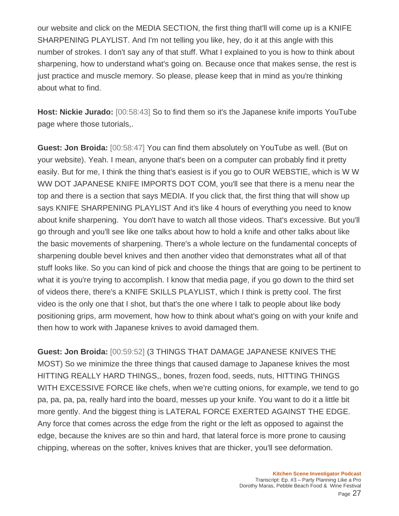our website and click on the MEDIA SECTION, the first thing that'll will come up is a KNIFE SHARPENING PLAYLIST. And I'm not telling you like, hey, do it at this angle with this number of strokes. I don't say any of that stuff. What I explained to you is how to think about sharpening, how to understand what's going on. Because once that makes sense, the rest is just practice and muscle memory. So please, please keep that in mind as you're thinking about what to find.

**Host: Nickie Jurado:** [00:58:43] So to find them so it's the Japanese knife imports YouTube page where those tutorials,.

**Guest: Jon Broida:** [00:58:47] You can find them absolutely on YouTube as well. (But on your website). Yeah. I mean, anyone that's been on a computer can probably find it pretty easily. But for me, I think the thing that's easiest is if you go to OUR WEBSTIE, which is W W WW DOT JAPANESE KNIFE IMPORTS DOT COM, you'll see that there is a menu near the top and there is a section that says MEDIA. If you click that, the first thing that will show up says KNIFE SHARPENING PLAYLIST And it's like 4 hours of everything you need to know about knife sharpening. You don't have to watch all those videos. That's excessive. But you'll go through and you'll see like one talks about how to hold a knife and other talks about like the basic movements of sharpening. There's a whole lecture on the fundamental concepts of sharpening double bevel knives and then another video that demonstrates what all of that stuff looks like. So you can kind of pick and choose the things that are going to be pertinent to what it is you're trying to accomplish. I know that media page, if you go down to the third set of videos there, there's a KNIFE SKILLS PLAYLIST, which I think is pretty cool. The first video is the only one that I shot, but that's the one where I talk to people about like body positioning grips, arm movement, how how to think about what's going on with your knife and then how to work with Japanese knives to avoid damaged them.

**Guest: Jon Broida:** [00:59:52] (3 THINGS THAT DAMAGE JAPANESE KNIVES THE MOST) So we minimize the three things that caused damage to Japanese knives the most HITTING REALLY HARD THINGS,, bones, frozen food, seeds, nuts, HITTING THINGS WITH EXCESSIVE FORCE like chefs, when we're cutting onions, for example, we tend to go pa, pa, pa, pa, really hard into the board, messes up your knife. You want to do it a little bit more gently. And the biggest thing is LATERAL FORCE EXERTED AGAINST THE EDGE. Any force that comes across the edge from the right or the left as opposed to against the edge, because the knives are so thin and hard, that lateral force is more prone to causing chipping, whereas on the softer, knives knives that are thicker, you'll see deformation.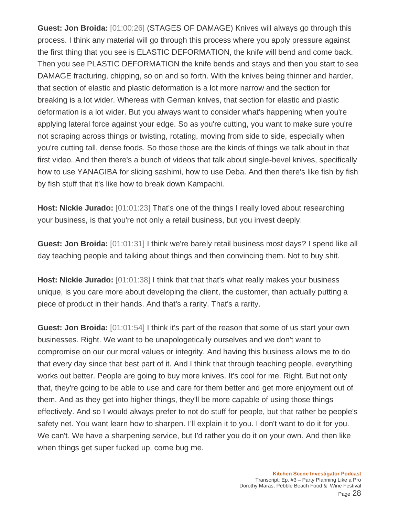**Guest: Jon Broida:** [01:00:26] (STAGES OF DAMAGE) Knives will always go through this process. I think any material will go through this process where you apply pressure against the first thing that you see is ELASTIC DEFORMATION, the knife will bend and come back. Then you see PLASTIC DEFORMATION the knife bends and stays and then you start to see DAMAGE fracturing, chipping, so on and so forth. With the knives being thinner and harder, that section of elastic and plastic deformation is a lot more narrow and the section for breaking is a lot wider. Whereas with German knives, that section for elastic and plastic deformation is a lot wider. But you always want to consider what's happening when you're applying lateral force against your edge. So as you're cutting, you want to make sure you're not scraping across things or twisting, rotating, moving from side to side, especially when you're cutting tall, dense foods. So those those are the kinds of things we talk about in that first video. And then there's a bunch of videos that talk about single-bevel knives, specifically how to use YANAGIBA for slicing sashimi, how to use Deba. And then there's like fish by fish by fish stuff that it's like how to break down Kampachi.

**Host: Nickie Jurado:** [01:01:23] That's one of the things I really loved about researching your business, is that you're not only a retail business, but you invest deeply.

**Guest: Jon Broida:** [01:01:31] I think we're barely retail business most days? I spend like all day teaching people and talking about things and then convincing them. Not to buy shit.

**Host: Nickie Jurado:** [01:01:38] I think that that that's what really makes your business unique, is you care more about developing the client, the customer, than actually putting a piece of product in their hands. And that's a rarity. That's a rarity.

**Guest: Jon Broida:** [01:01:54] I think it's part of the reason that some of us start your own businesses. Right. We want to be unapologetically ourselves and we don't want to compromise on our our moral values or integrity. And having this business allows me to do that every day since that best part of it. And I think that through teaching people, everything works out better. People are going to buy more knives. It's cool for me. Right. But not only that, they're going to be able to use and care for them better and get more enjoyment out of them. And as they get into higher things, they'll be more capable of using those things effectively. And so I would always prefer to not do stuff for people, but that rather be people's safety net. You want learn how to sharpen. I'll explain it to you. I don't want to do it for you. We can't. We have a sharpening service, but I'd rather you do it on your own. And then like when things get super fucked up, come bug me.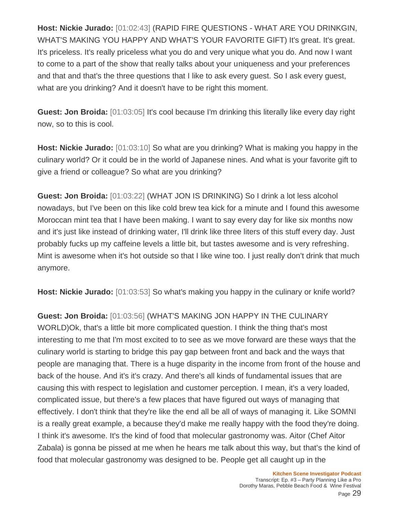**Host: Nickie Jurado:** [01:02:43] (RAPID FIRE QUESTIONS - WHAT ARE YOU DRINKGIN, WHAT'S MAKING YOU HAPPY AND WHAT'S YOUR FAVORITE GIFT) It's great. It's great. It's priceless. It's really priceless what you do and very unique what you do. And now I want to come to a part of the show that really talks about your uniqueness and your preferences and that and that's the three questions that I like to ask every guest. So I ask every guest, what are you drinking? And it doesn't have to be right this moment.

**Guest: Jon Broida:** [01:03:05] It's cool because I'm drinking this literally like every day right now, so to this is cool.

**Host: Nickie Jurado:** [01:03:10] So what are you drinking? What is making you happy in the culinary world? Or it could be in the world of Japanese nines. And what is your favorite gift to give a friend or colleague? So what are you drinking?

**Guest: Jon Broida:** [01:03:22] (WHAT JON IS DRINKING) So I drink a lot less alcohol nowadays, but I've been on this like cold brew tea kick for a minute and I found this awesome Moroccan mint tea that I have been making. I want to say every day for like six months now and it's just like instead of drinking water, I'll drink like three liters of this stuff every day. Just probably fucks up my caffeine levels a little bit, but tastes awesome and is very refreshing. Mint is awesome when it's hot outside so that I like wine too. I just really don't drink that much anymore.

**Host: Nickie Jurado:** [01:03:53] So what's making you happy in the culinary or knife world?

**Guest: Jon Broida:** [01:03:56] (WHAT'S MAKING JON HAPPY IN THE CULINARY WORLD)Ok, that's a little bit more complicated question. I think the thing that's most interesting to me that I'm most excited to to see as we move forward are these ways that the culinary world is starting to bridge this pay gap between front and back and the ways that people are managing that. There is a huge disparity in the income from front of the house and back of the house. And it's it's crazy. And there's all kinds of fundamental issues that are causing this with respect to legislation and customer perception. I mean, it's a very loaded, complicated issue, but there's a few places that have figured out ways of managing that effectively. I don't think that they're like the end all be all of ways of managing it. Like SOMNI is a really great example, a because they'd make me really happy with the food they're doing. I think it's awesome. It's the kind of food that molecular gastronomy was. Aitor (Chef Aitor Zabala) is gonna be pissed at me when he hears me talk about this way, but that's the kind of food that molecular gastronomy was designed to be. People get all caught up in the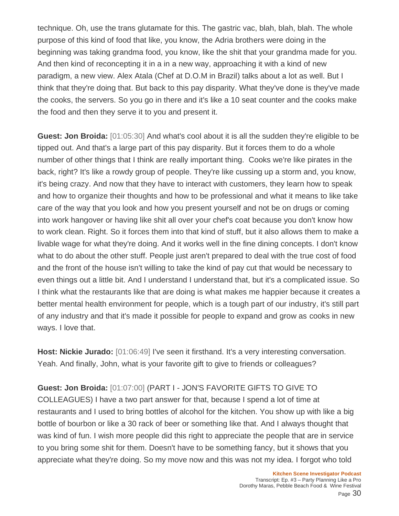technique. Oh, use the trans glutamate for this. The gastric vac, blah, blah, blah. The whole purpose of this kind of food that like, you know, the Adria brothers were doing in the beginning was taking grandma food, you know, like the shit that your grandma made for you. And then kind of reconcepting it in a in a new way, approaching it with a kind of new paradigm, a new view. Alex Atala (Chef at D.O.M in Brazil) talks about a lot as well. But I think that they're doing that. But back to this pay disparity. What they've done is they've made the cooks, the servers. So you go in there and it's like a 10 seat counter and the cooks make the food and then they serve it to you and present it.

**Guest: Jon Broida:** [01:05:30] And what's cool about it is all the sudden they're eligible to be tipped out. And that's a large part of this pay disparity. But it forces them to do a whole number of other things that I think are really important thing. Cooks we're like pirates in the back, right? It's like a rowdy group of people. They're like cussing up a storm and, you know, it's being crazy. And now that they have to interact with customers, they learn how to speak and how to organize their thoughts and how to be professional and what it means to like take care of the way that you look and how you present yourself and not be on drugs or coming into work hangover or having like shit all over your chef's coat because you don't know how to work clean. Right. So it forces them into that kind of stuff, but it also allows them to make a livable wage for what they're doing. And it works well in the fine dining concepts. I don't know what to do about the other stuff. People just aren't prepared to deal with the true cost of food and the front of the house isn't willing to take the kind of pay cut that would be necessary to even things out a little bit. And I understand I understand that, but it's a complicated issue. So I think what the restaurants like that are doing is what makes me happier because it creates a better mental health environment for people, which is a tough part of our industry, it's still part of any industry and that it's made it possible for people to expand and grow as cooks in new ways. I love that.

**Host: Nickie Jurado:** [01:06:49] I've seen it firsthand. It's a very interesting conversation. Yeah. And finally, John, what is your favorite gift to give to friends or colleagues?

## **Guest: Jon Broida:** [01:07:00] (PART I - JON'S FAVORITE GIFTS TO GIVE TO

COLLEAGUES) I have a two part answer for that, because I spend a lot of time at restaurants and I used to bring bottles of alcohol for the kitchen. You show up with like a big bottle of bourbon or like a 30 rack of beer or something like that. And I always thought that was kind of fun. I wish more people did this right to appreciate the people that are in service to you bring some shit for them. Doesn't have to be something fancy, but it shows that you appreciate what they're doing. So my move now and this was not my idea. I forgot who told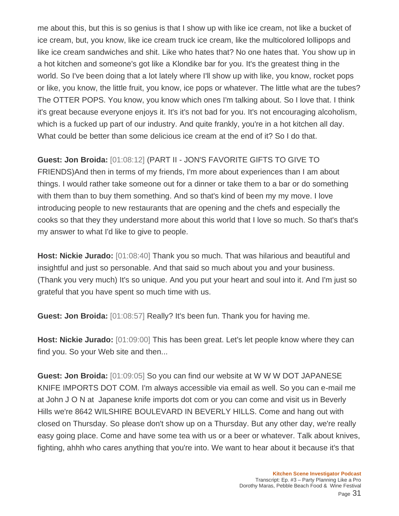me about this, but this is so genius is that I show up with like ice cream, not like a bucket of ice cream, but, you know, like ice cream truck ice cream, like the multicolored lollipops and like ice cream sandwiches and shit. Like who hates that? No one hates that. You show up in a hot kitchen and someone's got like a Klondike bar for you. It's the greatest thing in the world. So I've been doing that a lot lately where I'll show up with like, you know, rocket pops or like, you know, the little fruit, you know, ice pops or whatever. The little what are the tubes? The OTTER POPS. You know, you know which ones I'm talking about. So I love that. I think it's great because everyone enjoys it. It's it's not bad for you. It's not encouraging alcoholism, which is a fucked up part of our industry. And quite frankly, you're in a hot kitchen all day. What could be better than some delicious ice cream at the end of it? So I do that.

## **Guest: Jon Broida:** [01:08:12] (PART II - JON'S FAVORITE GIFTS TO GIVE TO

FRIENDS)And then in terms of my friends, I'm more about experiences than I am about things. I would rather take someone out for a dinner or take them to a bar or do something with them than to buy them something. And so that's kind of been my my move. I love introducing people to new restaurants that are opening and the chefs and especially the cooks so that they they understand more about this world that I love so much. So that's that's my answer to what I'd like to give to people.

**Host: Nickie Jurado:** [01:08:40] Thank you so much. That was hilarious and beautiful and insightful and just so personable. And that said so much about you and your business. (Thank you very much) It's so unique. And you put your heart and soul into it. And I'm just so grateful that you have spent so much time with us.

**Guest: Jon Broida:** [01:08:57] Really? It's been fun. Thank you for having me.

**Host: Nickie Jurado:** [01:09:00] This has been great. Let's let people know where they can find you. So your Web site and then...

**Guest: Jon Broida:** [01:09:05] So you can find our website at W W W DOT JAPANESE KNIFE IMPORTS DOT COM. I'm always accessible via email as well. So you can e-mail me at John J O N at Japanese knife imports dot com or you can come and visit us in Beverly Hills we're 8642 WILSHIRE BOULEVARD IN BEVERLY HILLS. Come and hang out with closed on Thursday. So please don't show up on a Thursday. But any other day, we're really easy going place. Come and have some tea with us or a beer or whatever. Talk about knives, fighting, ahhh who cares anything that you're into. We want to hear about it because it's that